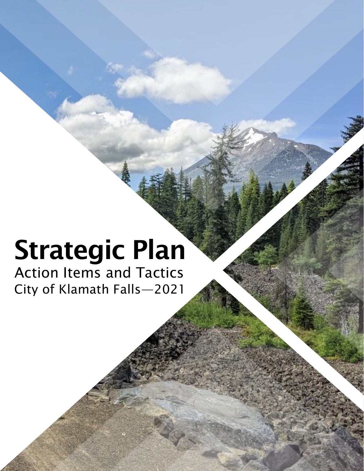# Strategic Plan

City of Klamath Falls—2021 Action Items and Tactics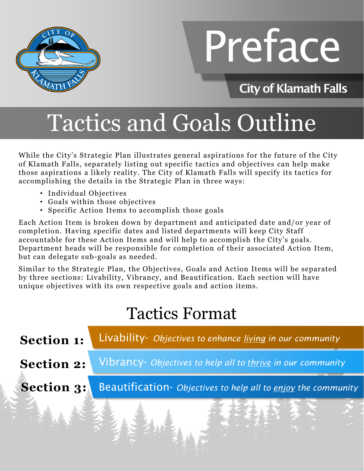

# Preface

#### City of Klamath Falls

## Tactics and Goals Outline

While the City's Strategic Plan illustrates general aspirations for the future of the City of Klamath Falls, separately listing out specific tactics and objectives can help make those aspirations a likely reality. The City of Klamath Falls will specify its tactics for accomplishing the details in the Strategic Plan in three ways:

- Individual Objectives
- Goals within those objectives
- Specific Action Items to accomplish those goals

Each Action Item is broken down by department and anticipated date and/or year of completion. Having specific dates and listed departments will keep City Staff accountable for these Action Items and will help to accomplish the City's goals. Department heads will be responsible for completion of their associated Action Item, but can delegate sub-goals as needed.

Similar to the Strategic Plan, the Objectives, Goals and Action Items will be separated by three sections: Livability, Vibrancy, and Beautification. Each section will have unique objectives with its own respective goals and action items.

#### Tactics Format

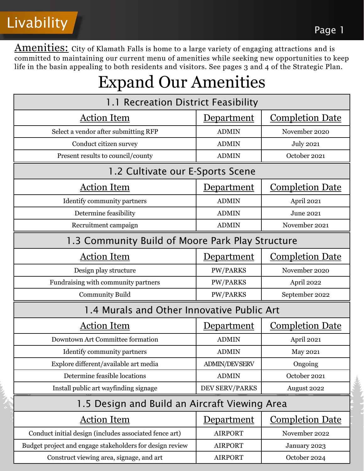Livability Page 1

Amenities: City of Klamath Falls is home to a large variety of engaging attractions and is committed to maintaining our current menu of amenities while seeking new opportunities to keep life in the basin appealing to both residents and visitors. See pages 3 and 4 of the Strategic Plan.

#### Expand Our Amenities

| ┻                                                        |                       |                        |
|----------------------------------------------------------|-----------------------|------------------------|
| 1.1 Recreation District Feasibility                      |                       |                        |
| <b>Action Item</b>                                       | <u>Department</u>     | <b>Completion Date</b> |
| Select a vendor after submitting RFP                     | <b>ADMIN</b>          | November 2020          |
| Conduct citizen survey                                   | <b>ADMIN</b>          | <b>July 2021</b>       |
| Present results to council/county                        | <b>ADMIN</b>          | October 2021           |
| 1.2 Cultivate our E-Sports Scene                         |                       |                        |
| <b>Action Item</b>                                       | <u>Department</u>     | <b>Completion Date</b> |
| Identify community partners                              | <b>ADMIN</b>          | April 2021             |
| Determine feasibility                                    | <b>ADMIN</b>          | June 2021              |
| Recruitment campaign                                     | <b>ADMIN</b>          | November 2021          |
| 1.3 Community Build of Moore Park Play Structure         |                       |                        |
| <b>Action Item</b>                                       | Department            | <b>Completion Date</b> |
| Design play structure                                    | <b>PW/PARKS</b>       | November 2020          |
| Fundraising with community partners                      | <b>PW/PARKS</b>       | April 2022             |
| <b>Community Build</b>                                   | <b>PW/PARKS</b>       | September 2022         |
| 1.4 Murals and Other Innovative Public Art               |                       |                        |
| <b>Action Item</b>                                       | Department            | <b>Completion Date</b> |
| Downtown Art Committee formation                         | <b>ADMIN</b>          | April 2021             |
| Identify community partners                              | <b>ADMIN</b>          | <b>May 2021</b>        |
| Explore different/available art media                    | <b>ADMIN/DEVSERV</b>  | Ongoing                |
| Determine feasible locations                             | <b>ADMIN</b>          | October 2021           |
| Install public art wayfinding signage                    | <b>DEV SERV/PARKS</b> | August 2022            |
| 1.5 Design and Build an Aircraft Viewing Area            |                       |                        |
| <b>Action Item</b>                                       | <u>Department</u>     | <b>Completion Date</b> |
| Conduct initial design (includes associated fence art)   | <b>AIRPORT</b>        | November 2022          |
| Budget project and engage stakeholders for design review | <b>AIRPORT</b>        | January 2023           |
| Construct viewing area, signage, and art                 | <b>AIRPORT</b>        | October 2024           |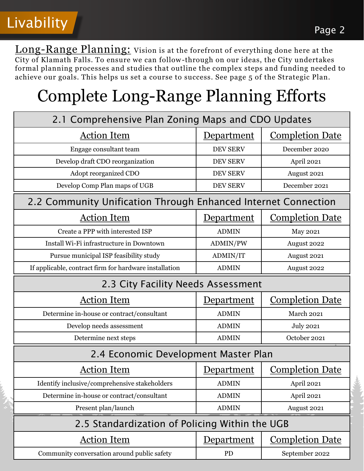

Long-Range Planning: Vision is at the forefront of everything done here at the City of Klamath Falls. To ensure we can follow-through on our ideas, the City undertakes formal planning processes and studies that outline the complex steps and funding needed to achieve our goals. This helps us set a course to success. See page 5 of the Strategic Plan.

#### Complete Long-Range Planning Efforts

| 2.1 Comprehensive Plan Zoning Maps and CDO Updates             |                                      |                        |  |
|----------------------------------------------------------------|--------------------------------------|------------------------|--|
| <b>Action Item</b>                                             | <b>Department</b>                    | <b>Completion Date</b> |  |
| Engage consultant team                                         | <b>DEV SERV</b>                      | December 2020          |  |
| Develop draft CDO reorganization                               | <b>DEV SERV</b>                      | April 2021             |  |
| Adopt reorganized CDO                                          | <b>DEV SERV</b>                      | August 2021            |  |
| Develop Comp Plan maps of UGB                                  | <b>DEV SERV</b>                      | December 2021          |  |
| 2.2 Community Unification Through Enhanced Internet Connection |                                      |                        |  |
| <b>Action Item</b>                                             | <b>Department</b>                    | <b>Completion Date</b> |  |
| Create a PPP with interested ISP                               | <b>ADMIN</b>                         | <b>May 2021</b>        |  |
| Install Wi-Fi infrastructure in Downtown                       | ADMIN/PW                             | August 2022            |  |
| Pursue municipal ISP feasibility study                         | ADMIN/IT                             | August 2021            |  |
| If applicable, contract firm for hardware installation         | <b>ADMIN</b>                         | August 2022            |  |
| 2.3 City Facility Needs Assessment                             |                                      |                        |  |
| <b>Action Item</b>                                             | <u>Department</u>                    | <b>Completion Date</b> |  |
| Determine in-house or contract/consultant                      | <b>ADMIN</b>                         | March 2021             |  |
| Develop needs assessment                                       | <b>ADMIN</b>                         | <b>July 2021</b>       |  |
| Determine next steps                                           | <b>ADMIN</b>                         | October 2021           |  |
|                                                                | 2.4 Economic Development Master Plan |                        |  |
| <b>Action Item</b>                                             | <u>Department</u>                    | <b>Completion Date</b> |  |
| Identify inclusive/comprehensive stakeholders                  | <b>ADMIN</b>                         | April 2021             |  |
| Determine in-house or contract/consultant                      | <b>ADMIN</b>                         | April 2021             |  |
| Present plan/launch                                            | <b>ADMIN</b>                         | August 2021            |  |
| 2.5 Standardization of Policing Within the UGB                 |                                      |                        |  |
| <b>Action Item</b>                                             | Department                           | <b>Completion Date</b> |  |
| Community conversation around public safety                    | <b>PD</b>                            | September 2022         |  |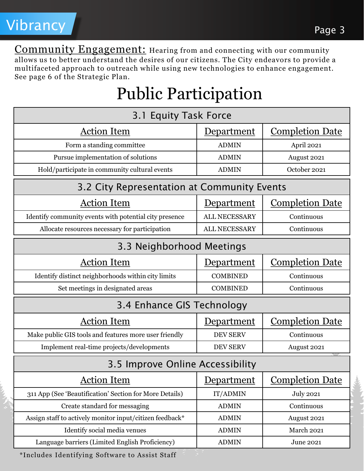

Community Engagement: Hearing from and connecting with our community allows us to better understand the desires of our citizens. The City endeavors to provide a multifaceted approach to outreach while using new technologies to enhance engagement. See page 6 of the Strategic Plan.

### Public Participation

| 3.1 Equity Task Force                                    |                      |                        |
|----------------------------------------------------------|----------------------|------------------------|
| <b>Action Item</b>                                       | <u>Department</u>    | <b>Completion Date</b> |
| Form a standing committee                                | <b>ADMIN</b>         | April 2021             |
| Pursue implementation of solutions                       | <b>ADMIN</b>         | August 2021            |
| Hold/participate in community cultural events            | <b>ADMIN</b>         | October 2021           |
| 3.2 City Representation at Community Events              |                      |                        |
| <b>Action Item</b>                                       | <u>Department</u>    | <b>Completion Date</b> |
| Identify community events with potential city presence   | <b>ALL NECESSARY</b> | Continuous             |
| Allocate resources necessary for participation           | ALL NECESSARY        | Continuous             |
| 3.3 Neighborhood Meetings                                |                      |                        |
| <b>Action Item</b>                                       | <u>Department</u>    | <b>Completion Date</b> |
| Identify distinct neighborhoods within city limits       | <b>COMBINED</b>      | Continuous             |
| Set meetings in designated areas                         | <b>COMBINED</b>      | Continuous             |
| 3.4 Enhance GIS Technology                               |                      |                        |
| <b>Action Item</b>                                       | <u>Department</u>    | <u>Completion Date</u> |
| Make public GIS tools and features more user friendly    | <b>DEV SERV</b>      | Continuous             |
| Implement real-time projects/developments                | <b>DEV SERV</b>      | August 2021            |
| 3.5 Improve Online Accessibility                         |                      |                        |
| <b>Action Item</b>                                       | Department           | <b>Completion Date</b> |
| 311 App (See 'Beautification' Section for More Details)  | IT/ADMIN             | <b>July 2021</b>       |
| Create standard for messaging                            | <b>ADMIN</b>         | Continuous             |
| Assign staff to actively monitor input/citizen feedback* | <b>ADMIN</b>         | August 2021            |
| Identify social media venues                             | <b>ADMIN</b>         | <b>March 2021</b>      |
| Language barriers (Limited English Proficiency)          | <b>ADMIN</b>         | June 2021              |

\*Includes Identifying Software to Assist Staff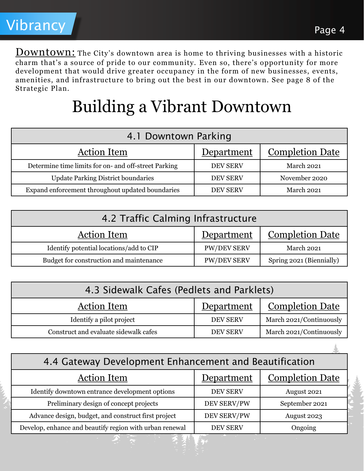**Downtown:** The City's downtown area is home to thriving businesses with a historic charm that's a source of pride to our community. Even so, there's opportunity for more development that would drive greater occupancy in the form of new businesses, events, amenities, and infrastructure to bring out the best in our downtown. See page 8 of the Strategic Plan.

#### Building a Vibrant Downtown

| 4.1 Downtown Parking                                 |                 |                        |
|------------------------------------------------------|-----------------|------------------------|
| <b>Action Item</b>                                   | Department      | <b>Completion Date</b> |
| Determine time limits for on- and off-street Parking | <b>DEV SERV</b> | March 2021             |
| <b>Update Parking District boundaries</b>            | <b>DEV SERV</b> | November 2020          |
| Expand enforcement throughout updated boundaries     | <b>DEV SERV</b> | March 2021             |

| 4.2 Traffic Calming Infrastructure      |                    |                          |
|-----------------------------------------|--------------------|--------------------------|
| <b>Action Item</b>                      | Department         | <b>Completion Date</b>   |
| Identify potential locations/add to CIP | <b>PW/DEV SERV</b> | March 2021               |
| Budget for construction and maintenance | <b>PW/DEV SERV</b> | Spring 2021 (Biennially) |

| 4.3 Sidewalk Cafes (Pedlets and Parklets) |                 |                         |
|-------------------------------------------|-----------------|-------------------------|
| <b>Action Item</b>                        | Department      | <b>Completion Date</b>  |
| Identify a pilot project                  | <b>DEV SERV</b> | March 2021/Continuously |
| Construct and evaluate sidewalk cafes     | <b>DEV SERV</b> | March 2021/Continuously |

| 4.4 Gateway Development Enhancement and Beautification  |                 |                        |
|---------------------------------------------------------|-----------------|------------------------|
| <b>Action Item</b>                                      | Department      | <b>Completion Date</b> |
| Identify downtown entrance development options          | <b>DEV SERV</b> | August 2021            |
| Preliminary design of concept projects                  | DEV SERV/PW     | September 2021         |
| Advance design, budget, and construct first project     | DEV SERV/PW     | August 2023            |
| Develop, enhance and beautify region with urban renewal | <b>DEV SERV</b> | Ongoing                |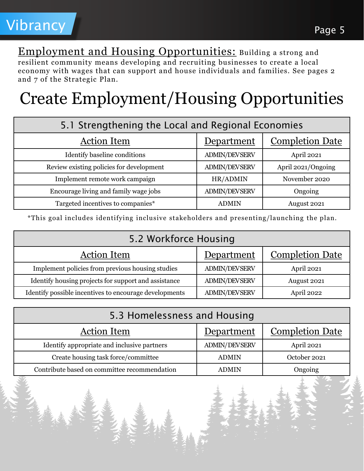Employment and Housing Opportunities: Building a strong and resilient community means developing and recruiting businesses to create a local economy with wages that can support and house individuals and families. See pages 2 and 7 of the Strategic Plan.

## Create Employment/Housing Opportunities

| 5.1 Strengthening the Local and Regional Economies |                      |                        |
|----------------------------------------------------|----------------------|------------------------|
| <b>Action Item</b>                                 | Department           | <b>Completion Date</b> |
| Identify baseline conditions                       | <b>ADMIN/DEVSERV</b> | April 2021             |
| Review existing policies for development           | <b>ADMIN/DEVSERV</b> | April 2021/Ongoing     |
| Implement remote work campaign                     | HR/ADMIN             | November 2020          |
| Encourage living and family wage jobs              | <b>ADMIN/DEVSERV</b> | Ongoing                |
| Targeted incentives to companies*                  | <b>ADMIN</b>         | August 2021            |

\*This goal includes identifying inclusive stakeholders and presenting/launching the plan.

| 5.2 Workforce Housing                                  |                      |                        |
|--------------------------------------------------------|----------------------|------------------------|
| <b>Action Item</b>                                     | Department           | <b>Completion Date</b> |
| Implement policies from previous housing studies       | <b>ADMIN/DEVSERV</b> | April 2021             |
| Identify housing projects for support and assistance   | <b>ADMIN/DEVSERV</b> | August 2021            |
| Identify possible incentives to encourage developments | <b>ADMIN/DEVSERV</b> | April 2022             |

| 5.3 Homelessness and Housing                 |                      |                        |
|----------------------------------------------|----------------------|------------------------|
| <b>Action Item</b>                           | Department           | <b>Completion Date</b> |
| Identify appropriate and inclusive partners  | <b>ADMIN/DEVSERV</b> | April 2021             |
| Create housing task force/committee          | <b>ADMIN</b>         | October 2021           |
| Contribute based on committee recommendation | <b>ADMIN</b>         | Ongoing                |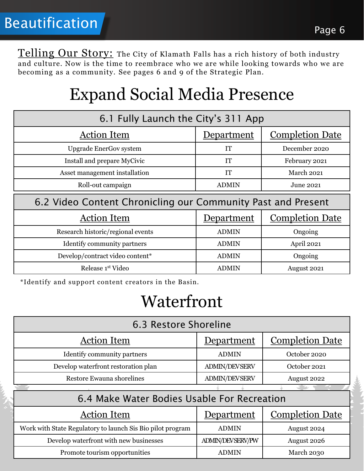Telling Our Story: The City of Klamath Falls has a rich history of both industry and culture. Now is the time to reembrace who we are while looking towards who we are becoming as a community. See pages 6 and 9 of the Strategic Plan.

#### Expand Social Media Presence

| 6.1 Fully Launch the City's 311 App                          |              |                        |
|--------------------------------------------------------------|--------------|------------------------|
| <b>Action Item</b>                                           | Department   | <b>Completion Date</b> |
| <b>Upgrade EnerGov system</b>                                | <b>IT</b>    | December 2020          |
| Install and prepare MyCivic                                  | IT           | February 2021          |
| Asset management installation                                | <b>IT</b>    | March 2021             |
| Roll-out campaign                                            | <b>ADMIN</b> | June 2021              |
| 6.2 Video Content Chronicling our Community Past and Present |              |                        |
|                                                              |              |                        |
| <b>Action Item</b>                                           | Department   | <b>Completion Date</b> |
| Research historic/regional events                            | <b>ADMIN</b> | Ongoing                |
| Identify community partners                                  | <b>ADMIN</b> | April 2021             |
| Develop/contract video content*                              | <b>ADMIN</b> | Ongoing                |

\*Identify and support content creators in the Basin.

#### Waterfront

| 6.3 Restore Shoreline                                      |                         |                        |
|------------------------------------------------------------|-------------------------|------------------------|
| <b>Action Item</b>                                         | <u>Department</u>       | <b>Completion Date</b> |
| Identify community partners                                | <b>ADMIN</b>            | October 2020           |
| Develop waterfront restoration plan                        | <b>ADMIN/DEVSERV</b>    | October 2021           |
| Restore Ewauna shorelines                                  | <b>ADMIN/DEVSERV</b>    | August 2022            |
|                                                            |                         |                        |
| 6.4 Make Water Bodies Usable For Recreation                |                         |                        |
| <b>Action Item</b>                                         | Department              | <b>Completion Date</b> |
| Work with State Regulatory to launch Sis Bio pilot program | <b>ADMIN</b>            | August 2024            |
| Develop waterfront with new businesses                     | <b>ADMIN/DEVSERV/PW</b> | August 2026            |
|                                                            |                         |                        |